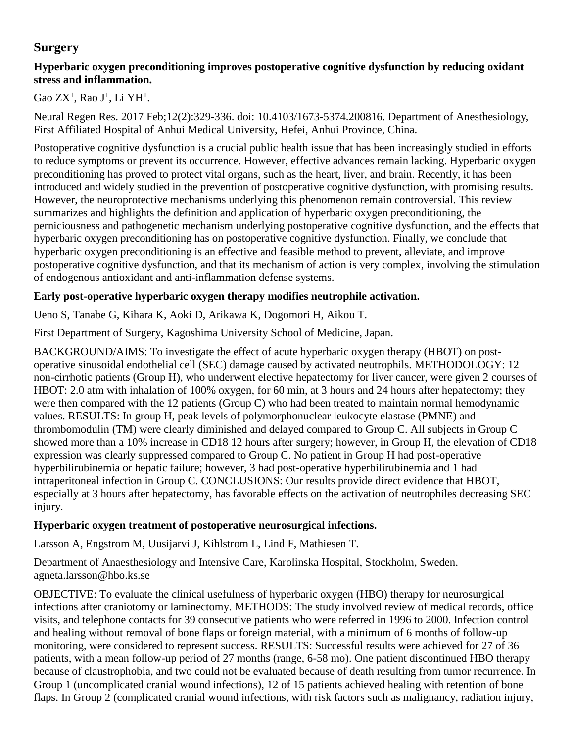# **Surgery**

#### **Hyperbaric oxygen preconditioning improves postoperative cognitive dysfunction by reducing oxidant stress and inflammation.**

# <u>[Gao ZX](https://www.ncbi.nlm.nih.gov/pubmed/?term=Gao%20ZX%5BAuthor%5D&cauthor=true&cauthor_uid=28400818)<sup>1</sup>, [Rao J](https://www.ncbi.nlm.nih.gov/pubmed/?term=Rao%20J%5BAuthor%5D&cauthor=true&cauthor_uid=28400818)<sup>1</sup>, [Li YH](https://www.ncbi.nlm.nih.gov/pubmed/?term=Li%20YH%5BAuthor%5D&cauthor=true&cauthor_uid=28400818)</u><sup>1</sup>.

[Neural Regen Res.](https://www.ncbi.nlm.nih.gov/pubmed/28400818) 2017 Feb;12(2):329-336. doi: 10.4103/1673-5374.200816. Department of Anesthesiology, First Affiliated Hospital of Anhui Medical University, Hefei, Anhui Province, China.

Postoperative cognitive dysfunction is a crucial public health issue that has been increasingly studied in efforts to reduce symptoms or prevent its occurrence. However, effective advances remain lacking. Hyperbaric oxygen preconditioning has proved to protect vital organs, such as the heart, liver, and brain. Recently, it has been introduced and widely studied in the prevention of postoperative cognitive dysfunction, with promising results. However, the neuroprotective mechanisms underlying this phenomenon remain controversial. This review summarizes and highlights the definition and application of hyperbaric oxygen preconditioning, the perniciousness and pathogenetic mechanism underlying postoperative cognitive dysfunction, and the effects that hyperbaric oxygen preconditioning has on postoperative cognitive dysfunction. Finally, we conclude that hyperbaric oxygen preconditioning is an effective and feasible method to prevent, alleviate, and improve postoperative cognitive dysfunction, and that its mechanism of action is very complex, involving the stimulation of endogenous antioxidant and anti-inflammation defense systems.

## **Early post-operative hyperbaric oxygen therapy modifies neutrophile activation.**

Ueno S, Tanabe G, Kihara K, Aoki D, Arikawa K, Dogomori H, Aikou T.

First Department of Surgery, Kagoshima University School of Medicine, Japan.

BACKGROUND/AIMS: To investigate the effect of acute hyperbaric oxygen therapy (HBOT) on postoperative sinusoidal endothelial cell (SEC) damage caused by activated neutrophils. METHODOLOGY: 12 non-cirrhotic patients (Group H), who underwent elective hepatectomy for liver cancer, were given 2 courses of HBOT: 2.0 atm with inhalation of 100% oxygen, for 60 min, at 3 hours and 24 hours after hepatectomy; they were then compared with the 12 patients (Group C) who had been treated to maintain normal hemodynamic values. RESULTS: In group H, peak levels of polymorphonuclear leukocyte elastase (PMNE) and thrombomodulin (TM) were clearly diminished and delayed compared to Group C. All subjects in Group C showed more than a 10% increase in CD18 12 hours after surgery; however, in Group H, the elevation of CD18 expression was clearly suppressed compared to Group C. No patient in Group H had post-operative hyperbilirubinemia or hepatic failure; however, 3 had post-operative hyperbilirubinemia and 1 had intraperitoneal infection in Group C. CONCLUSIONS: Our results provide direct evidence that HBOT, especially at 3 hours after hepatectomy, has favorable effects on the activation of neutrophiles decreasing SEC injury.

#### **Hyperbaric oxygen treatment of postoperative neurosurgical infections.**

Larsson A, Engstrom M, Uusijarvi J, Kihlstrom L, Lind F, Mathiesen T.

Department of Anaesthesiology and Intensive Care, Karolinska Hospital, Stockholm, Sweden. agneta.larsson@hbo.ks.se

OBJECTIVE: To evaluate the clinical usefulness of hyperbaric oxygen (HBO) therapy for neurosurgical infections after craniotomy or laminectomy. METHODS: The study involved review of medical records, office visits, and telephone contacts for 39 consecutive patients who were referred in 1996 to 2000. Infection control and healing without removal of bone flaps or foreign material, with a minimum of 6 months of follow-up monitoring, were considered to represent success. RESULTS: Successful results were achieved for 27 of 36 patients, with a mean follow-up period of 27 months (range, 6-58 mo). One patient discontinued HBO therapy because of claustrophobia, and two could not be evaluated because of death resulting from tumor recurrence. In Group 1 (uncomplicated cranial wound infections), 12 of 15 patients achieved healing with retention of bone flaps. In Group 2 (complicated cranial wound infections, with risk factors such as malignancy, radiation injury,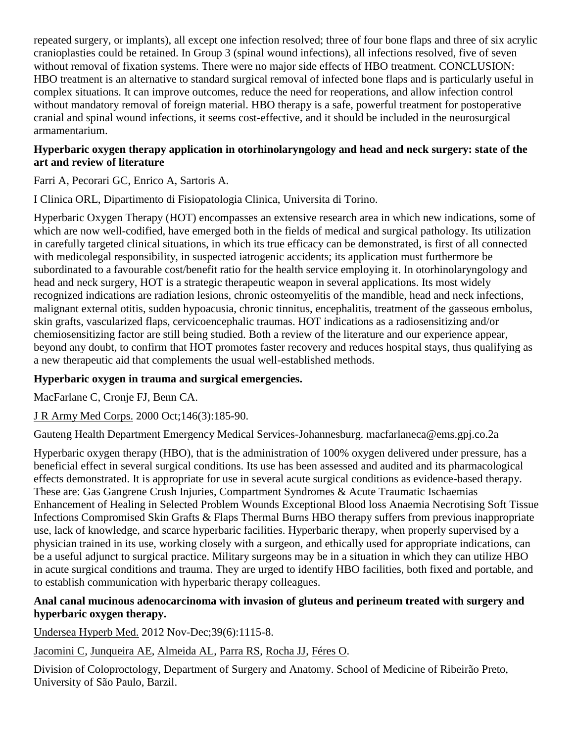repeated surgery, or implants), all except one infection resolved; three of four bone flaps and three of six acrylic cranioplasties could be retained. In Group 3 (spinal wound infections), all infections resolved, five of seven without removal of fixation systems. There were no major side effects of HBO treatment. CONCLUSION: HBO treatment is an alternative to standard surgical removal of infected bone flaps and is particularly useful in complex situations. It can improve outcomes, reduce the need for reoperations, and allow infection control without mandatory removal of foreign material. HBO therapy is a safe, powerful treatment for postoperative cranial and spinal wound infections, it seems cost-effective, and it should be included in the neurosurgical armamentarium.

#### **Hyperbaric oxygen therapy application in otorhinolaryngology and head and neck surgery: state of the art and review of literature**

Farri A, Pecorari GC, Enrico A, Sartoris A.

I Clinica ORL, Dipartimento di Fisiopatologia Clinica, Universita di Torino.

Hyperbaric Oxygen Therapy (HOT) encompasses an extensive research area in which new indications, some of which are now well-codified, have emerged both in the fields of medical and surgical pathology. Its utilization in carefully targeted clinical situations, in which its true efficacy can be demonstrated, is first of all connected with medicolegal responsibility, in suspected iatrogenic accidents; its application must furthermore be subordinated to a favourable cost/benefit ratio for the health service employing it. In otorhinolaryngology and head and neck surgery, HOT is a strategic therapeutic weapon in several applications. Its most widely recognized indications are radiation lesions, chronic osteomyelitis of the mandible, head and neck infections, malignant external otitis, sudden hypoacusia, chronic tinnitus, encephalitis, treatment of the gasseous embolus, skin grafts, vascularized flaps, cervicoencephalic traumas. HOT indications as a radiosensitizing and/or chemiosensitizing factor are still being studied. Both a review of the literature and our experience appear, beyond any doubt, to confirm that HOT promotes faster recovery and reduces hospital stays, thus qualifying as a new therapeutic aid that complements the usual well-established methods.

## **Hyperbaric oxygen in trauma and surgical emergencies.**

[MacFarlane C,](http://www.ncbi.nlm.nih.gov/entrez/query.fcgi?db=pubmed&cmd=Search&itool=pubmed_AbstractPlus&term=%22MacFarlane+C%22%5BAuthor%5D) [Cronje FJ,](http://www.ncbi.nlm.nih.gov/entrez/query.fcgi?db=pubmed&cmd=Search&itool=pubmed_AbstractPlus&term=%22Cronje+FJ%22%5BAuthor%5D) [Benn CA.](http://www.ncbi.nlm.nih.gov/entrez/query.fcgi?db=pubmed&cmd=Search&itool=pubmed_AbstractPlus&term=%22Benn+CA%22%5BAuthor%5D)

[J R Army Med Corps.](javascript:AL_get(this,%20) 2000 Oct;146(3):185-90.

Gauteng Health Department Emergency Medical Services-Johannesburg. macfarlaneca@ems.gpj.co.2a

Hyperbaric oxygen therapy (HBO), that is the administration of 100% oxygen delivered under pressure, has a beneficial effect in several surgical conditions. Its use has been assessed and audited and its pharmacological effects demonstrated. It is appropriate for use in several acute surgical conditions as evidence-based therapy. These are: Gas Gangrene Crush Injuries, Compartment Syndromes & Acute Traumatic Ischaemias Enhancement of Healing in Selected Problem Wounds Exceptional Blood loss Anaemia Necrotising Soft Tissue Infections Compromised Skin Grafts & Flaps Thermal Burns HBO therapy suffers from previous inappropriate use, lack of knowledge, and scarce hyperbaric facilities. Hyperbaric therapy, when properly supervised by a physician trained in its use, working closely with a surgeon, and ethically used for appropriate indications, can be a useful adjunct to surgical practice. Military surgeons may be in a situation in which they can utilize HBO in acute surgical conditions and trauma. They are urged to identify HBO facilities, both fixed and portable, and to establish communication with hyperbaric therapy colleagues.

#### **Anal canal mucinous adenocarcinoma with invasion of gluteus and perineum treated with surgery and hyperbaric oxygen therapy.**

Undersea Hyperb Med. 2012 Nov-Dec;39(6):1115-8.

Jacomini C, Junqueira AE, Almeida AL, [Parra RS,](http://www.ncbi.nlm.nih.gov/pubmed?term=Parra%20RS%5BAuthor%5D&cauthor=true&cauthor_uid=23342769) [Rocha JJ,](http://www.ncbi.nlm.nih.gov/pubmed?term=Rocha%20JJ%5BAuthor%5D&cauthor=true&cauthor_uid=23342769) [Féres O.](http://www.ncbi.nlm.nih.gov/pubmed?term=F%C3%A9res%20O%5BAuthor%5D&cauthor=true&cauthor_uid=23342769)

Division of Coloproctology, Department of Surgery and Anatomy. School of Medicine of Ribeirão Preto, University of São Paulo, Barzil.